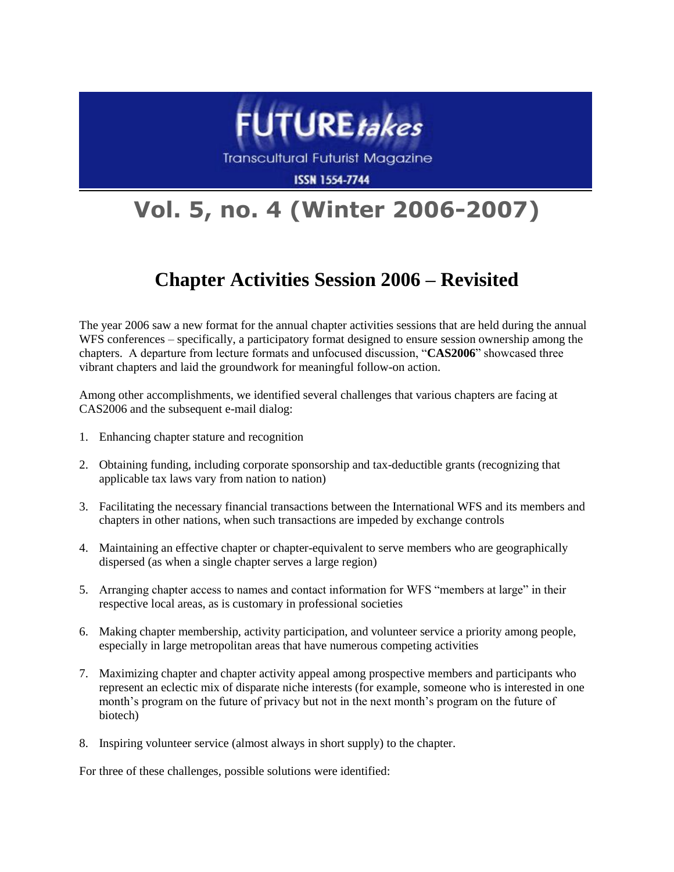

**Transcultural Futurist Magazine** 

**ISSN 1554-7744** 

## **Vol. 5, no. 4 (Winter 2006-2007)**

## **Chapter Activities Session 2006 – Revisited**

The year 2006 saw a new format for the annual chapter activities sessions that are held during the annual WFS conferences – specifically, a participatory format designed to ensure session ownership among the chapters. A departure from lecture formats and unfocused discussion, "**CAS2006**" showcased three vibrant chapters and laid the groundwork for meaningful follow-on action.

Among other accomplishments, we identified several challenges that various chapters are facing at CAS2006 and the subsequent e-mail dialog:

- 1. Enhancing chapter stature and recognition
- 2. Obtaining funding, including corporate sponsorship and tax-deductible grants (recognizing that applicable tax laws vary from nation to nation)
- 3. Facilitating the necessary financial transactions between the International WFS and its members and chapters in other nations, when such transactions are impeded by exchange controls
- 4. Maintaining an effective chapter or chapter-equivalent to serve members who are geographically dispersed (as when a single chapter serves a large region)
- 5. Arranging chapter access to names and contact information for WFS "members at large" in their respective local areas, as is customary in professional societies
- 6. Making chapter membership, activity participation, and volunteer service a priority among people, especially in large metropolitan areas that have numerous competing activities
- 7. Maximizing chapter and chapter activity appeal among prospective members and participants who represent an eclectic mix of disparate niche interests (for example, someone who is interested in one month's program on the future of privacy but not in the next month's program on the future of biotech)
- 8. Inspiring volunteer service (almost always in short supply) to the chapter.

For three of these challenges, possible solutions were identified: